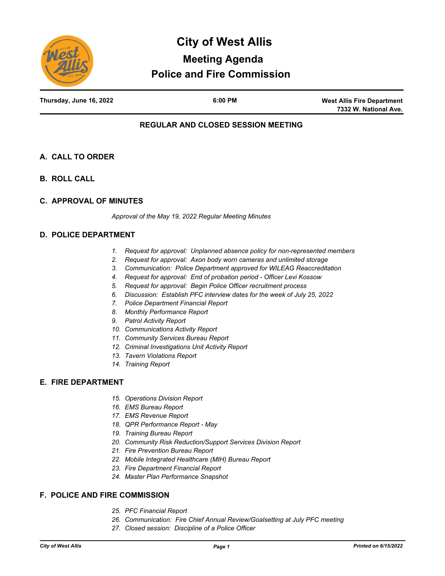

**West Allis Fire Department 7332 W. National Ave.**

# **REGULAR AND CLOSED SESSION MEETING**

- **A. CALL TO ORDER**
- **B. ROLL CALL**
- **C. APPROVAL OF MINUTES**

*Approval of the May 19, 2022 Regular Meeting Minutes*

## **D. POLICE DEPARTMENT**

- *1. Request for approval: Unplanned absence policy for non-represented members*
- *2. Request for approval: Axon body worn cameras and unlimited storage*
- *3. Communication: Police Department approved for WILEAG Reaccreditation*
- *4. Request for approval: End of probation period Officer Levi Kossow*
- *5. Request for approval: Begin Police Officer recruitment process*
- *6. Discussion: Establish PFC interview dates for the week of July 25, 2022*
- *7. Police Department Financial Report*
- *8. Monthly Performance Report*
- *9. Patrol Activity Report*
- *10. Communications Activity Report*
- *11. Community Services Bureau Report*
- *12. Criminal Investigations Unit Activity Report*
- *13. Tavern Violations Report*
- *14. Training Report*

## **E. FIRE DEPARTMENT**

- *15. Operations Division Report*
- *16. EMS Bureau Report*
- *17. EMS Revenue Report*
- *18. QPR Performance Report May*
- *19. Training Bureau Report*
- *20. Community Risk Reduction/Support Services Division Report*
- *21. Fire Prevention Bureau Report*
- *22. Mobile Integrated Healthcare (MIH) Bureau Report*
- *23. Fire Department Financial Report*
- *24. Master Plan Performance Snapshot*

# **F. POLICE AND FIRE COMMISSION**

- *25. PFC Financial Report*
- *26. Communication: Fire Chief Annual Review/Goalsetting at July PFC meeting*
- *27. Closed session: Discipline of a Police Officer*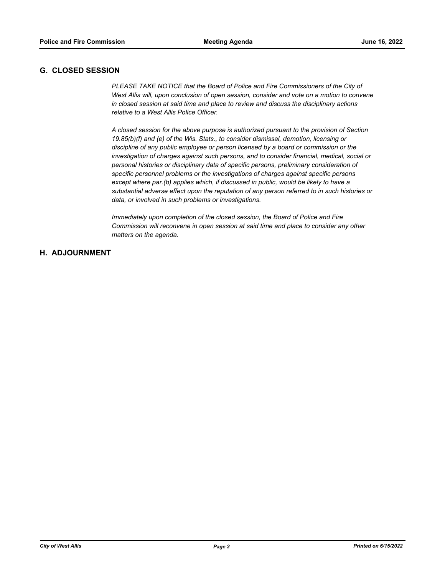# **G. CLOSED SESSION**

**PLEASE TAKE NOTICE that the Board of Police and Fire Commissioners of the City of** *West Allis will, upon conclusion of open session, consider and vote on a motion to convene in closed session at said time and place to review and discuss the disciplinary actions relative to a West Allis Police Officer.*

*A closed session for the above purpose is authorized pursuant to the provision of Section 19.85(b)(f) and (e) of the Wis. Stats., to consider dismissal, demotion, licensing or discipline of any public employee or person licensed by a board or commission or the investigation of charges against such persons, and to consider financial, medical, social or personal histories or disciplinary data of specific persons, preliminary consideration of specific personnel problems or the investigations of charges against specific persons except where par.(b) applies which, if discussed in public, would be likely to have a substantial adverse effect upon the reputation of any person referred to in such histories or data, or involved in such problems or investigations.*

*Immediately upon completion of the closed session, the Board of Police and Fire Commission will reconvene in open session at said time and place to consider any other matters on the agenda.*

# **H. ADJOURNMENT**